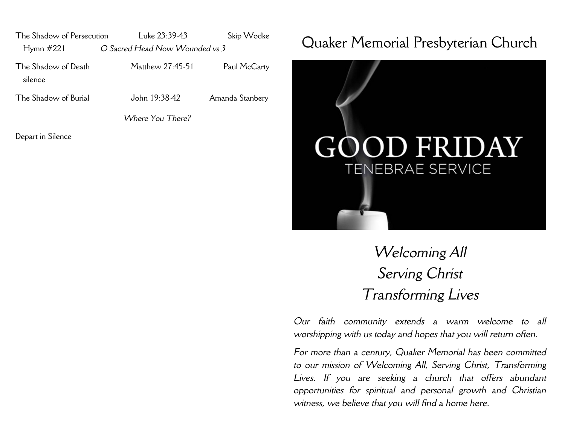The Shadow of Persecution Luke 23:39-43 Skip Wodke Hymn #221 *O Sacred Head Now Wounded vs 3*

silence

The Shadow of Death Matthew 27:45-51 Paul McCarty

The Shadow of Burial John 19:38-42 Amanda Stanbery

*Where You There?* 

Depart in Silence

## Quaker Memorial Presbyterian Church



## *Welcoming All Serving Christ Transforming Lives*

*Our faith community extends a warm welcome to all worshipping with us today and hopes that you will return often.*

*For more than a century, Quaker Memorial has been committed to our mission of Welcoming All, Serving Christ, Transforming Lives. If you are seeking a church that offers abundant opportunities for spiritual and personal growth and Christian witness, we believe that you will find a home here.*